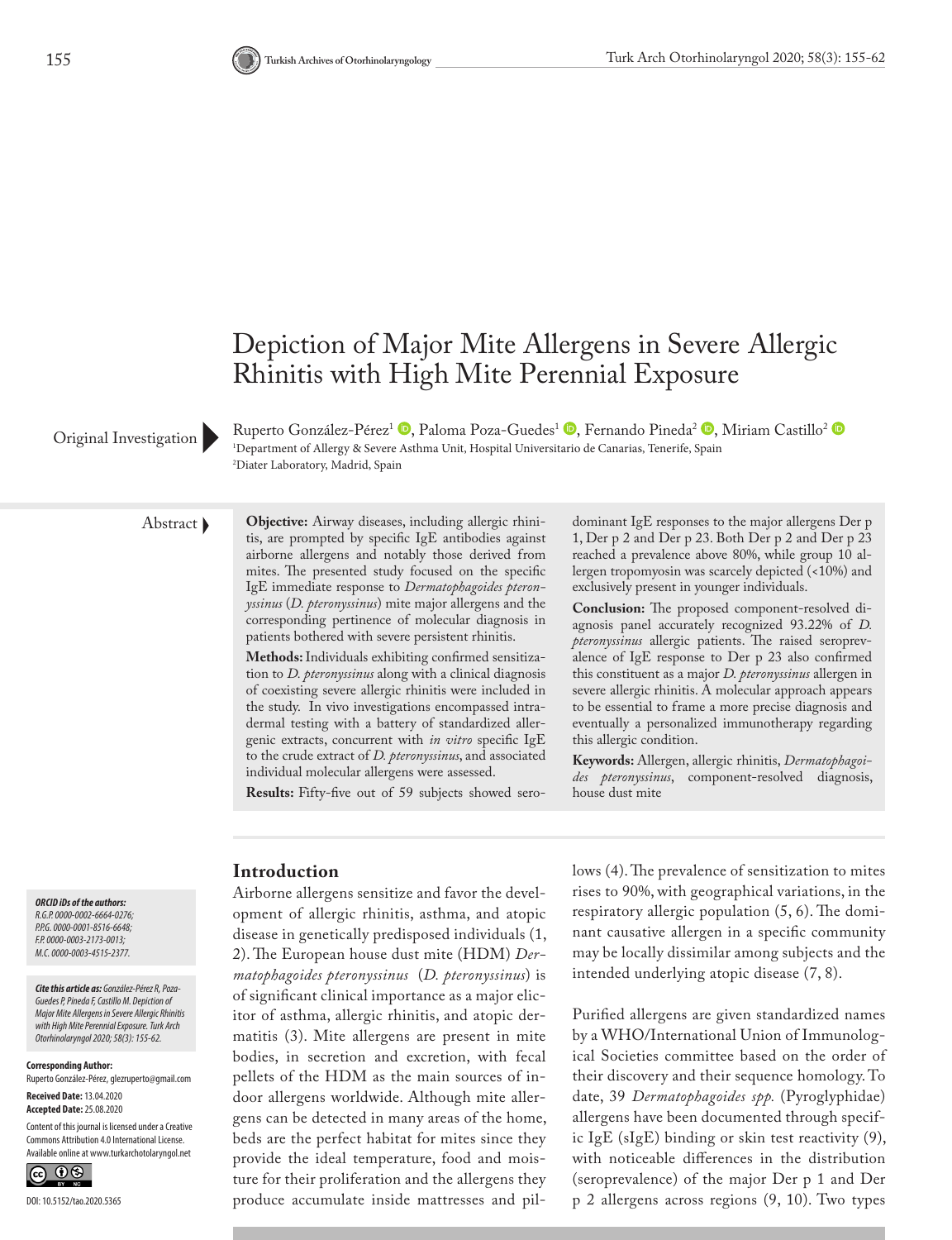

Original Investigation

Ruperto González-Pérez<sup>1</sup> <sup>®</sup>[,](http://orcid.org/0000-0003-2173-0013) Paloma Poza-Guedes<sup>1</sup> ®, Fernando Pineda<sup>2</sup> ®, Miriam Castillo<sup>2</sup> ® 1 Department of Allergy & Severe Asthma Unit, Hospital Universitario de Canarias, Tenerife, Spain 2 Diater Laboratory, Madrid, Spain

Abstract **Objective:** Airway diseases, including allergic rhinitis, are prompted by specific IgE antibodies against airborne allergens and notably those derived from mites. The presented study focused on the specific IgE immediate response to *Dermatophagoides pteronyssinus* (*D. pteronyssinus*) mite major allergens and the corresponding pertinence of molecular diagnosis in patients bothered with severe persistent rhinitis.

> **Methods:** Individuals exhibiting confirmed sensitization to *D. pteronyssinus* along with a clinical diagnosis of coexisting severe allergic rhinitis were included in the study. In vivo investigations encompassed intradermal testing with a battery of standardized allergenic extracts, concurrent with *in vitro* specific IgE to the crude extract of *D. pteronyssinus*, and associated individual molecular allergens were assessed.

> **Results:** Fifty-five out of 59 subjects showed sero-

dominant IgE responses to the major allergens Der p 1, Der p 2 and Der p 23. Both Der p 2 and Der p 23 reached a prevalence above 80%, while group 10 allergen tropomyosin was scarcely depicted (<10%) and exclusively present in younger individuals.

**Conclusion:** The proposed component-resolved diagnosis panel accurately recognized 93.22% of *D. pteronyssinus* allergic patients. The raised seroprevalence of IgE response to Der p 23 also confirmed this constituent as a major *D. pteronyssinus* allergen in severe allergic rhinitis. A molecular approach appears to be essential to frame a more precise diagnosis and eventually a personalized immunotherapy regarding this allergic condition.

**Keywords:** Allergen, allergic rhinitis, *Dermatophagoides pteronyssinus*, component-resolved diagnosis, house dust mite

*ORCID iDs of the authors: R.G.P. 0000-0002-6664-0276; P.P.G. 0000-0001-8516-6648; F.P. 0000-0003-2173-0013; M.C. 0000-0003-4515-2377.* 

*Cite this article as: González-Pérez R, Poza-Guedes P, Pineda F, Castillo M. Depiction of Major Mite Allergens in Severe Allergic Rhinitis with High Mite Perennial Exposure. Turk Arch Otorhinolaryngol 2020; 58(3): 155-62.*

**Corresponding Author:** 

Ruperto González-Pérez, glezruperto@gmail.com **Received Date:** 13.04.2020

**Accepted Date:** 25.08.2020

Content of this journal is licensed under a Creative Commons Attribution 4.0 International License. Available online at www.turkarchotolaryngol.net



# **Introduction**

Airborne allergens sensitize and favor the development of allergic rhinitis, asthma, and atopic disease in genetically predisposed individuals (1, 2). The European house dust mite (HDM) *Dermatophagoides pteronyssinus*  (*D. pteronyssinus*) is of significant clinical importance as a major elicitor of asthma, allergic rhinitis, and atopic dermatitis (3). Mite allergens are present in mite bodies, in secretion and excretion, with fecal pellets of the HDM as the main sources of indoor allergens worldwide. Although mite allergens can be detected in many areas of the home, beds are the perfect habitat for mites since they provide the ideal temperature, food and moisture for their proliferation and the allergens they produce accumulate inside mattresses and pillows (4). The prevalence of sensitization to mites rises to 90%, with geographical variations, in the respiratory allergic population (5, 6). The dominant causative allergen in a specific community may be locally dissimilar among subjects and the intended underlying atopic disease (7, 8).

Purified allergens are given standardized names by a WHO/International Union of Immunological Societies committee based on the order of their discovery and their sequence homology. To date, 39 *Dermatophagoides spp.* (Pyroglyphidae) allergens have been documented through specific IgE (sIgE) binding or skin test reactivity (9), with noticeable differences in the distribution (seroprevalence) of the major Der p 1 and Der p 2 allergens across regions (9, 10). Two types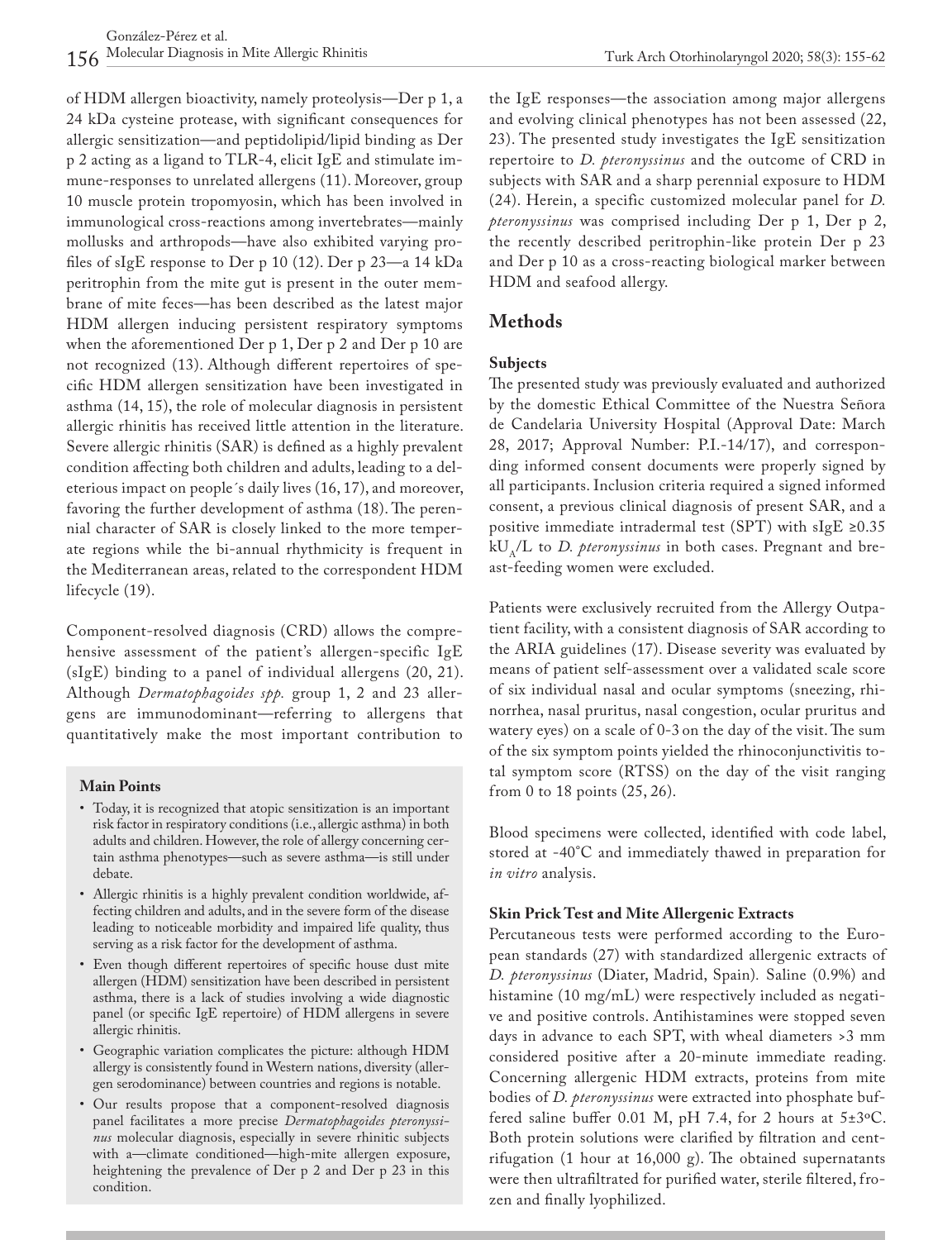of HDM allergen bioactivity, namely proteolysis—Der p 1, a 24 kDa cysteine protease, with significant consequences for allergic sensitization—and peptidolipid/lipid binding as Der p 2 acting as a ligand to TLR-4, elicit IgE and stimulate immune-responses to unrelated allergens (11). Moreover, group 10 muscle protein tropomyosin, which has been involved in immunological cross-reactions among invertebrates—mainly mollusks and arthropods—have also exhibited varying profiles of sIgE response to Der p 10 (12). Der p 23—a 14 kDa peritrophin from the mite gut is present in the outer membrane of mite feces—has been described as the latest major HDM allergen inducing persistent respiratory symptoms when the aforementioned Der p 1, Der p 2 and Der p 10 are not recognized (13). Although different repertoires of specific HDM allergen sensitization have been investigated in asthma (14, 15), the role of molecular diagnosis in persistent allergic rhinitis has received little attention in the literature. Severe allergic rhinitis (SAR) is defined as a highly prevalent condition affecting both children and adults, leading to a deleterious impact on people´s daily lives (16, 17), and moreover, favoring the further development of asthma (18). The perennial character of SAR is closely linked to the more temperate regions while the bi-annual rhythmicity is frequent in the Mediterranean areas, related to the correspondent HDM lifecycle (19).

Component-resolved diagnosis (CRD) allows the comprehensive assessment of the patient's allergen-specific IgE (sIgE) binding to a panel of individual allergens (20, 21). Although *Dermatophagoides spp.* group 1, 2 and 23 allergens are immunodominant—referring to allergens that quantitatively make the most important contribution to

#### **Main Points**

- Today, it is recognized that atopic sensitization is an important risk factor in respiratory conditions (i.e., allergic asthma) in both adults and children. However, the role of allergy concerning certain asthma phenotypes—such as severe asthma—is still under debate.
- Allergic rhinitis is a highly prevalent condition worldwide, affecting children and adults, and in the severe form of the disease leading to noticeable morbidity and impaired life quality, thus serving as a risk factor for the development of asthma.
- Even though different repertoires of specific house dust mite allergen (HDM) sensitization have been described in persistent asthma, there is a lack of studies involving a wide diagnostic panel (or specific IgE repertoire) of HDM allergens in severe allergic rhinitis.
- Geographic variation complicates the picture: although HDM allergy is consistently found in Western nations, diversity (allergen serodominance) between countries and regions is notable.
- Our results propose that a component-resolved diagnosis panel facilitates a more precise *Dermatophagoides pteronyssinus* molecular diagnosis, especially in severe rhinitic subjects with a—climate conditioned—high-mite allergen exposure, heightening the prevalence of Der p 2 and Der p 23 in this condition.

the IgE responses—the association among major allergens and evolving clinical phenotypes has not been assessed (22, 23). The presented study investigates the IgE sensitization repertoire to *D. pteronyssinus* and the outcome of CRD in subjects with SAR and a sharp perennial exposure to HDM (24). Herein, a specific customized molecular panel for *D. pteronyssinus* was comprised including Der p 1, Der p 2, the recently described peritrophin-like protein Der p 23 and Der p 10 as a cross-reacting biological marker between HDM and seafood allergy.

## **Methods**

### **Subjects**

The presented study was previously evaluated and authorized by the domestic Ethical Committee of the Nuestra Señora de Candelaria University Hospital (Approval Date: March 28, 2017; Approval Number: P.I.-14/17), and corresponding informed consent documents were properly signed by all participants. Inclusion criteria required a signed informed consent, a previous clinical diagnosis of present SAR, and a positive immediate intradermal test (SPT) with sIgE  $\geq 0.35$ kUA/L to *D. pteronyssinus* in both cases. Pregnant and breast-feeding women were excluded.

Patients were exclusively recruited from the Allergy Outpatient facility, with a consistent diagnosis of SAR according to the ARIA guidelines (17). Disease severity was evaluated by means of patient self-assessment over a validated scale score of six individual nasal and ocular symptoms (sneezing, rhinorrhea, nasal pruritus, nasal congestion, ocular pruritus and watery eyes) on a scale of 0-3 on the day of the visit. The sum of the six symptom points yielded the rhinoconjunctivitis total symptom score (RTSS) on the day of the visit ranging from 0 to 18 points (25, 26).

Blood specimens were collected, identified with code label, stored at -40°C and immediately thawed in preparation for *in vitro* analysis.

### **Skin Prick Test and Mite Allergenic Extracts**

Percutaneous tests were performed according to the European standards (27) with standardized allergenic extracts of *D. pteronyssinus* (Diater, Madrid, Spain)*.* Saline (0.9%) and histamine (10 mg/mL) were respectively included as negative and positive controls. Antihistamines were stopped seven days in advance to each SPT, with wheal diameters >3 mm considered positive after a 20-minute immediate reading. Concerning allergenic HDM extracts, proteins from mite bodies of *D. pteronyssinus* were extracted into phosphate buffered saline buffer 0.01 M, pH 7.4, for 2 hours at  $5\pm3$ °C. Both protein solutions were clarified by filtration and centrifugation (1 hour at 16,000 g). The obtained supernatants were then ultrafiltrated for purified water, sterile filtered, frozen and finally lyophilized.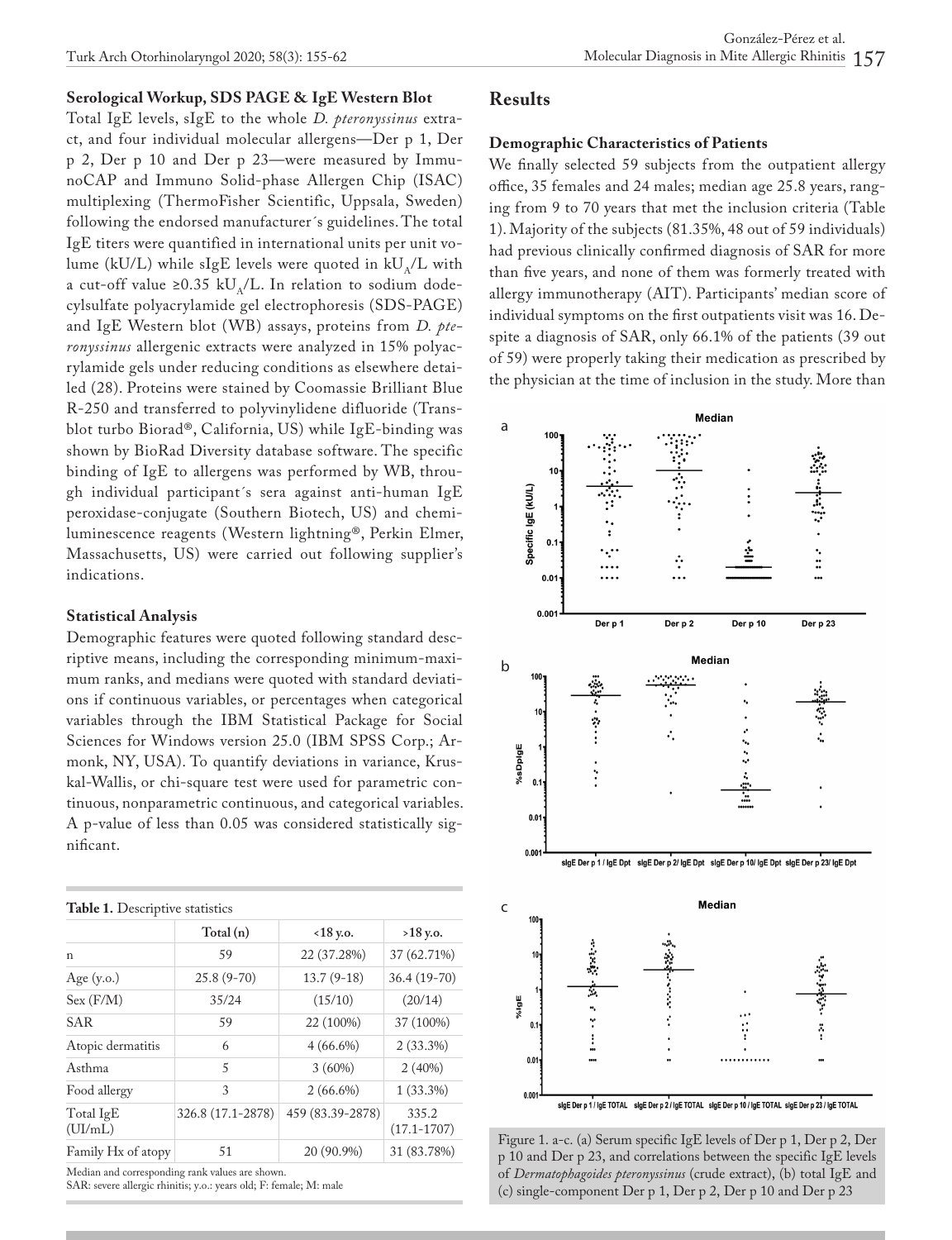## **Serological Workup, SDS PAGE & IgE Western Blot**

Total IgE levels, sIgE to the whole *D. pteronyssinus* extract, and four individual molecular allergens—Der p 1, Der p 2, Der p 10 and Der p 23—were measured by ImmunoCAP and Immuno Solid-phase Allergen Chip (ISAC) multiplexing (ThermoFisher Scientific, Uppsala, Sweden) following the endorsed manufacturer´s guidelines. The total IgE titers were quantified in international units per unit volume (kU/L) while sIgE levels were quoted in  $kU_A/L$  with a cut-off value ≥0.35 kU $_{\text{A}}$ /L. In relation to sodium dodecylsulfate polyacrylamide gel electrophoresis (SDS-PAGE) and IgE Western blot (WB) assays, proteins from *D. pteronyssinus* allergenic extracts were analyzed in 15% polyacrylamide gels under reducing conditions as elsewhere detailed (28). Proteins were stained by Coomassie Brilliant Blue R-250 and transferred to polyvinylidene difluoride (Transblot turbo Biorad®, California, US) while IgE-binding was shown by BioRad Diversity database software. The specific binding of IgE to allergens was performed by WB, through individual participant´s sera against anti-human IgE peroxidase-conjugate (Southern Biotech, US) and chemiluminescence reagents (Western lightning®, Perkin Elmer, Massachusetts, US) were carried out following supplier's indications.

## **Statistical Analysis**

Demographic features were quoted following standard descriptive means, including the corresponding minimum-maximum ranks, and medians were quoted with standard deviations if continuous variables, or percentages when categorical variables through the IBM Statistical Package for Social Sciences for Windows version 25.0 (IBM SPSS Corp.; Armonk, NY, USA). To quantify deviations in variance, Kruskal-Wallis, or chi-square test were used for parametric continuous, nonparametric continuous, and categorical variables. A p-value of less than 0.05 was considered statistically significant.

## **Table 1.** Descriptive statistics

|                          | Total(n)          | $<18$ y.o.       | $>18$ y.o.               |  |
|--------------------------|-------------------|------------------|--------------------------|--|
| n                        | 59                | 22 (37.28%)      | 37 (62.71%)              |  |
| Age $(y.o.)$             | $25.8(9-70)$      | $13.7(9-18)$     | $36.4(19-70)$            |  |
| Sex (F/M)                | 35/24             | (15/10)          | (20/14)                  |  |
| <b>SAR</b>               | 59                | 22 (100%)        | 37 (100%)                |  |
| Atopic dermatitis        | 6                 | $4(66.6\%)$      | $2(33.3\%)$              |  |
| Asthma                   | 5                 | 3(60%)           |                          |  |
| Food allergy             | 3                 | $2(66.6\%)$      | $1(33.3\%)$              |  |
| Total IgE<br>(UI/mL)     | 326.8 (17.1-2878) | 459 (83.39-2878) | 335.2<br>$(17.1 - 1707)$ |  |
| 51<br>Family Hx of atopy |                   | 20 (90.9%)       | 31 (83.78%)              |  |

Median and corresponding rank values are shown.

SAR: severe allergic rhinitis; y.o.: years old; F: female; M: male

## **Results**

## **Demographic Characteristics of Patients**

We finally selected 59 subjects from the outpatient allergy office, 35 females and 24 males; median age 25.8 years, ranging from 9 to 70 years that met the inclusion criteria (Table 1). Majority of the subjects (81.35%, 48 out of 59 individuals) had previous clinically confirmed diagnosis of SAR for more than five years, and none of them was formerly treated with allergy immunotherapy (AIT). Participants' median score of individual symptoms on the first outpatients visit was 16. Despite a diagnosis of SAR, only 66.1% of the patients (39 out of 59) were properly taking their medication as prescribed by the physician at the time of inclusion in the study. More than



Figure 1. a-c. (a) Serum specific IgE levels of Der p 1, Der p 2, Der p 10 and Der p 23, and correlations between the specific IgE levels of *Dermatophagoides pteronyssinus* (crude extract), (b) total IgE and (c) single-component Der p 1, Der p 2, Der p 10 and Der p 23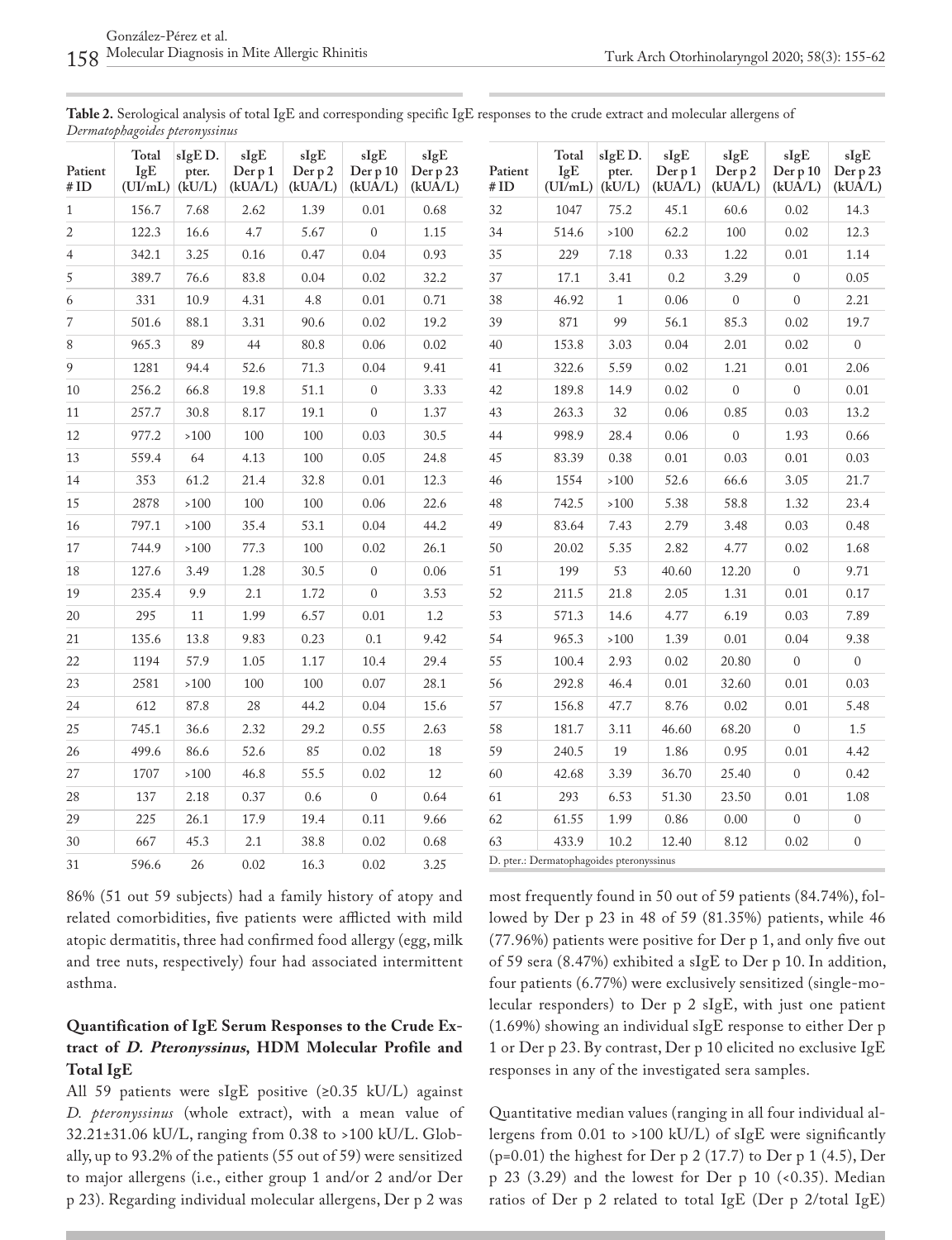| Table 2. Serological analysis of total IgE and corresponding specific IgE responses to the crude extract and molecular allergens of |  |  |
|-------------------------------------------------------------------------------------------------------------------------------------|--|--|
| Dermatophagoides pteronyssinus                                                                                                      |  |  |

| Patient<br>#ID | Total<br>IgE<br>(UI/mL) | sIgED.<br>pter.<br>(kU/L) | sIgE<br>Der p 1<br>(kUA/L) | sIgE<br>Der p2<br>(kUA/L) | sIgE<br>Der p 10<br>(kUA/L) | sIgE<br>Der p 23<br>(kUA/L) |
|----------------|-------------------------|---------------------------|----------------------------|---------------------------|-----------------------------|-----------------------------|
| $\mathbf{1}$   | 156.7                   | 7.68                      | 2.62                       | 1.39                      | 0.01                        | 0.68                        |
| $\overline{2}$ | 122.3                   | 16.6                      | 4.7                        | 5.67                      | $\overline{0}$              | 1.15                        |
| $\overline{4}$ | 342.1                   | 3.25                      | 0.16                       | 0.47                      | 0.04                        | 0.93                        |
| 5              | 389.7                   | 76.6                      | 83.8                       | 0.04                      | 0.02                        | 32.2                        |
| 6              | 331                     | 10.9                      | 4.31                       | 4.8                       | 0.01                        | 0.71                        |
| 7              | 501.6                   | 88.1                      | 3.31                       | 90.6                      | 0.02                        | 19.2                        |
| 8              | 965.3                   | 89                        | 44                         | 80.8                      | 0.06                        | 0.02                        |
| 9              | 1281                    | 94.4                      | 52.6                       | 71.3                      | 0.04                        | 9.41                        |
| 10             | 256.2                   | 66.8                      | 19.8                       | 51.1                      | $\boldsymbol{0}$            | 3.33                        |
| 11             | 257.7                   | 30.8                      | 8.17                       | 19.1                      | $\mathbf{0}$                | 1.37                        |
| 12             | 977.2                   | >100                      | 100                        | 100                       | 0.03                        | 30.5                        |
| 13             | 559.4                   | 64                        | 4.13                       | 100                       | 0.05                        | 24.8                        |
| 14             | 353                     | 61.2                      | 21.4                       | 32.8                      | 0.01                        | 12.3                        |
| 15             | 2878                    | $>100$                    | 100                        | 100                       | 0.06                        | 22.6                        |
| 16             | 797.1                   | $>100$                    | 35.4                       | 53.1                      | 0.04                        | 44.2                        |
| 17             | 744.9                   | >100                      | 77.3                       | 100                       | 0.02                        | 26.1                        |
| 18             | 127.6                   | 3.49                      | 1.28                       | 30.5                      | $\overline{0}$              | 0.06                        |
| 19             | 235.4                   | 9.9                       | 2.1                        | 1.72                      | $\mathbf{0}$                | 3.53                        |
| 20             | 295                     | 11                        | 1.99                       | 6.57                      | 0.01                        | 1.2                         |
| 21             | 135.6                   | 13.8                      | 9.83                       | 0.23                      | 0.1                         | 9.42                        |
| 22             | 1194                    | 57.9                      | 1.05                       | 1.17                      | 10.4                        | 29.4                        |
| 23             | 2581                    | >100                      | 100                        | 100                       | 0.07                        | 28.1                        |
| 24             | 612                     | 87.8                      | 28                         | 44.2                      | 0.04                        | 15.6                        |
| 25             | 745.1                   | 36.6                      | 2.32                       | 29.2                      | 0.55                        | 2.63                        |
| 26             | 499.6                   | 86.6                      | 52.6                       | 85                        | 0.02                        | 18                          |
| 27             | 1707                    | $>100$                    | 46.8                       | 55.5                      | 0.02                        | 12                          |
| 28             | 137                     | 2.18                      | 0.37                       | 0.6                       | $\boldsymbol{0}$            | 0.64                        |
| 29             | 225                     | 26.1                      | 17.9                       | 19.4                      | 0.11                        | 9.66                        |
| 30             | 667                     | 45.3                      | 2.1                        | 38.8                      | 0.02                        | 0.68                        |
| 31             | 596.6                   | 26                        | 0.02                       | 16.3                      | 0.02                        | 3.25                        |

| 86% (51 out 59 subjects) had a family history of atopy and     |
|----------------------------------------------------------------|
| related comorbidities, five patients were afflicted with mild  |
| atopic dermatitis, three had confirmed food allergy (egg, milk |
| and tree nuts, respectively) four had associated intermittent  |
| asthma.                                                        |

## **Quantification of IgE Serum Responses to the Crude Extract of D. Pteronyssinus, HDM Molecular Profile and Total IgE**

All 59 patients were sIgE positive (≥0.35 kU/L) against *D. pteronyssinus* (whole extract), with a mean value of 32.21±31.06 kU/L, ranging from 0.38 to >100 kU/L. Globally, up to 93.2% of the patients (55 out of 59) were sensitized to major allergens (i.e., either group 1 and/or 2 and/or Der p 23). Regarding individual molecular allergens, Der p 2 was

| Patient<br>#ID | Total<br>IgE<br>(UI/mL) | sIgED.<br>pter.<br>(kU/L) | sIgE<br>Der p 1<br>(kUA/L) | sIgE<br>Der p 2<br>(kUA/L) | sIgE<br>Der p 10<br>(kUA/L) | sIgE<br>Der p 23<br>(kUA/L) |
|----------------|-------------------------|---------------------------|----------------------------|----------------------------|-----------------------------|-----------------------------|
| 32             | 1047                    | 75.2                      | 45.1                       | 60.6                       | 0.02                        | 14.3                        |
| 34             | 514.6                   | >100                      | 62.2                       | 100                        | 0.02                        | 12.3                        |
| 35             | 229                     | 7.18                      | 0.33                       | 1.22                       | 0.01                        | 1.14                        |
| 37             | 17.1                    | 3.41                      | 0.2                        | 3.29                       | $\mathbf{0}$                | 0.05                        |
| 38             | 46.92                   | $\mathbf{1}$              | 0.06                       | $\mathbf{0}$               | $\mathbf{0}$                | 2.21                        |
| 39             | 871                     | 99                        | 56.1                       | 85.3                       | 0.02                        | 19.7                        |
| 40             | 153.8                   | 3.03                      | 0.04                       | 2.01                       | 0.02                        | $\overline{0}$              |
| 41             | 322.6                   | 5.59                      | 0.02                       | 1.21                       | 0.01                        | 2.06                        |
| 42             | 189.8                   | 14.9                      | 0.02                       | $\overline{0}$             | $\overline{0}$              | 0.01                        |
| 43             | 263.3                   | 32                        | 0.06                       | 0.85                       | 0.03                        | 13.2                        |
| 44             | 998.9                   | 28.4                      | 0.06                       | $\mathbf{0}$               | 1.93                        | 0.66                        |
| 45             | 83.39                   | 0.38                      | 0.01                       | 0.03                       | 0.01                        | 0.03                        |
| 46             | 1554                    | >100                      | 52.6                       | 66.6                       | 3.05                        | 21.7                        |
| 48             | 742.5                   | >100                      | 5.38                       | 58.8                       | 1.32                        | 23.4                        |
| 49             | 83.64                   | 7.43                      | 2.79                       | 3.48                       | 0.03                        | 0.48                        |
| 50             | 20.02                   | 5.35                      | 2.82                       | 4.77                       | 0.02                        | 1.68                        |
| 51             | 199                     | 53                        | 40.60                      | 12.20                      | $\overline{0}$              | 9.71                        |
| 52             | 211.5                   | 21.8                      | 2.05                       | 1.31                       | 0.01                        | 0.17                        |
| 53             | 571.3                   | 14.6                      | 4.77                       | 6.19                       | 0.03                        | 7.89                        |
| 54             | 965.3                   | $>100$                    | 1.39                       | 0.01                       | 0.04                        | 9.38                        |
| 55             | 100.4                   | 2.93                      | 0.02                       | 20.80                      | $\mathbf{0}$                | $\mathbf{0}$                |
| 56             | 292.8                   | 46.4                      | 0.01                       | 32.60                      | 0.01                        | 0.03                        |
| 57             | 156.8                   | 47.7                      | 8.76                       | 0.02                       | 0.01                        | 5.48                        |
| 58             | 181.7                   | 3.11                      | 46.60                      | 68.20                      | $\overline{0}$              | 1.5                         |
| 59             | 240.5                   | 19                        | 1.86                       | 0.95                       | 0.01                        | 4.42                        |
| 60             | 42.68                   | 3.39                      | 36.70                      | 25.40                      | $\mathbf{0}$                | 0.42                        |
| 61             | 293                     | 6.53                      | 51.30                      | 23.50                      | 0.01                        | 1.08                        |
| 62             | 61.55                   | 1.99                      | 0.86                       | 0.00                       | $\overline{0}$              | $\overline{0}$              |
| 63             | 433.9                   | 10.2                      | 12.40                      | 8.12                       | 0.02                        | 0                           |

D. pter.: Dermatophagoides pteronyssinus

most frequently found in 50 out of 59 patients (84.74%), followed by Der p 23 in 48 of 59 (81.35%) patients, while 46 (77.96%) patients were positive for Der p 1, and only five out of 59 sera (8.47%) exhibited a sIgE to Der p 10. In addition, four patients (6.77%) were exclusively sensitized (single-molecular responders) to Der p 2 sIgE, with just one patient (1.69%) showing an individual sIgE response to either Der p 1 or Der p 23. By contrast, Der p 10 elicited no exclusive IgE responses in any of the investigated sera samples.

Quantitative median values (ranging in all four individual allergens from 0.01 to >100 kU/L) of sIgE were significantly (p=0.01) the highest for Der p 2 (17.7) to Der p 1 (4.5), Der p 23 (3.29) and the lowest for Der p 10 (<0.35). Median ratios of Der p 2 related to total IgE (Der p 2/total IgE)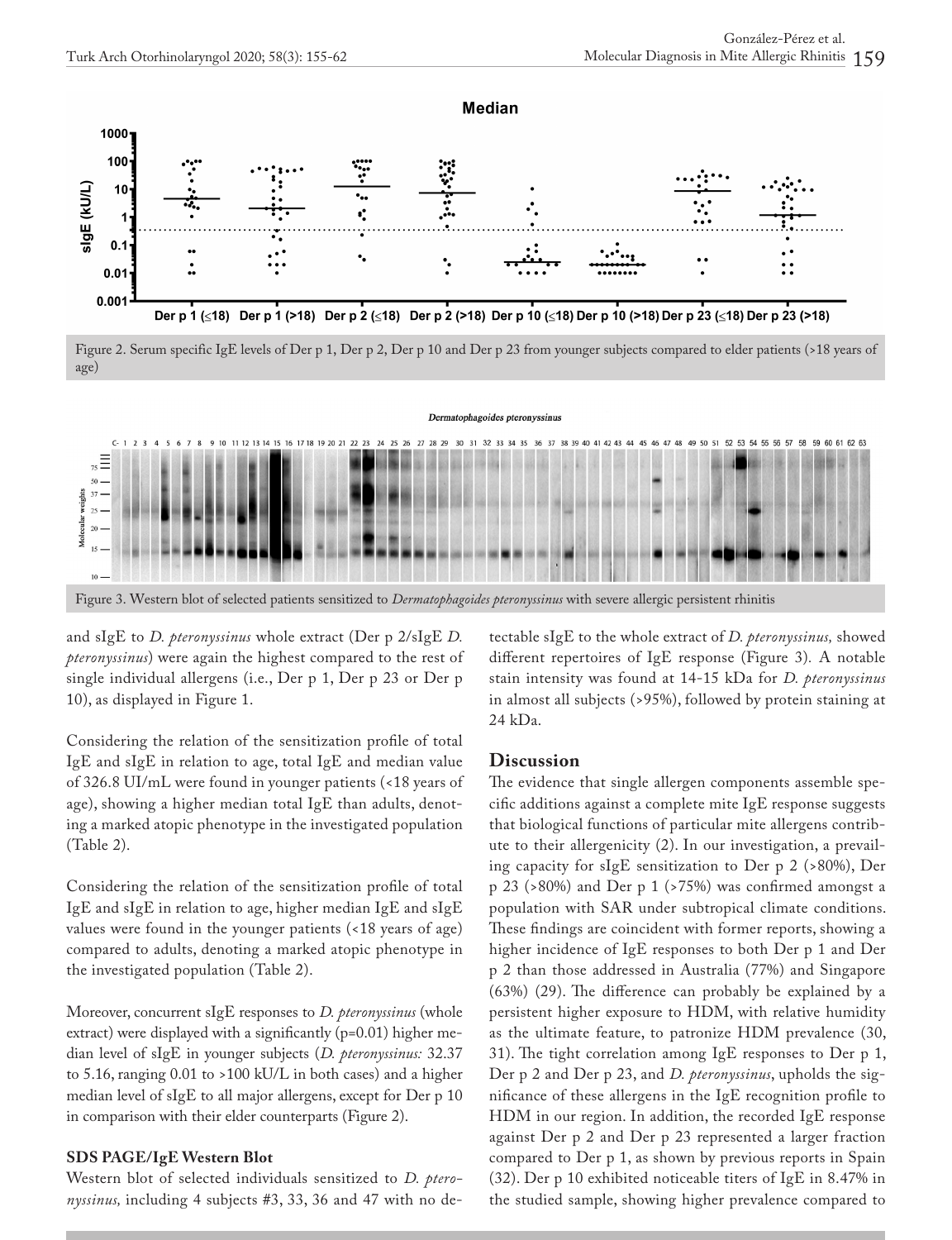

Figure 2. Serum specific IgE levels of Der p 1, Der p 2, Der p 10 and Der p 23 from younger subjects compared to elder patients (>18 years of age)



and sIgE to *D. pteronyssinus* whole extract (Der p 2/sIgE *D. pteronyssinus*) were again the highest compared to the rest of single individual allergens (i.e., Der p 1, Der p 23 or Der p 10), as displayed in Figure 1.

Considering the relation of the sensitization profile of total IgE and sIgE in relation to age, total IgE and median value of 326.8 UI/mL were found in younger patients (<18 years of age), showing a higher median total IgE than adults, denoting a marked atopic phenotype in the investigated population (Table 2).

Considering the relation of the sensitization profile of total IgE and sIgE in relation to age, higher median IgE and sIgE values were found in the younger patients (<18 years of age) compared to adults, denoting a marked atopic phenotype in the investigated population (Table 2).

Moreover, concurrent sIgE responses to *D. pteronyssinus* (whole extract) were displayed with a significantly (p=0.01) higher median level of sIgE in younger subjects (*D. pteronyssinus:* 32.37 to 5.16, ranging 0.01 to >100 kU/L in both cases) and a higher median level of sIgE to all major allergens, except for Der p 10 in comparison with their elder counterparts (Figure 2).

### **SDS PAGE/IgE Western Blot**

Western blot of selected individuals sensitized to *D. pteronyssinus,* including 4 subjects #3, 33, 36 and 47 with no detectable sIgE to the whole extract of *D. pteronyssinus,* showed different repertoires of IgE response (Figure 3)*.* A notable stain intensity was found at 14-15 kDa for *D. pteronyssinus* in almost all subjects (>95%), followed by protein staining at 24 kDa.

#### **Discussion**

The evidence that single allergen components assemble specific additions against a complete mite IgE response suggests that biological functions of particular mite allergens contribute to their allergenicity (2). In our investigation, a prevailing capacity for sIgE sensitization to Der p 2 (>80%), Der p 23 (>80%) and Der p 1 (>75%) was confirmed amongst a population with SAR under subtropical climate conditions. These findings are coincident with former reports, showing a higher incidence of IgE responses to both Der p 1 and Der p 2 than those addressed in Australia (77%) and Singapore (63%) (29). The difference can probably be explained by a persistent higher exposure to HDM, with relative humidity as the ultimate feature, to patronize HDM prevalence (30, 31). The tight correlation among IgE responses to Der p 1, Der p 2 and Der p 23, and *D. pteronyssinus*, upholds the significance of these allergens in the IgE recognition profile to HDM in our region. In addition, the recorded IgE response against Der p 2 and Der p 23 represented a larger fraction compared to Der p 1, as shown by previous reports in Spain (32). Der p 10 exhibited noticeable titers of IgE in 8.47% in the studied sample, showing higher prevalence compared to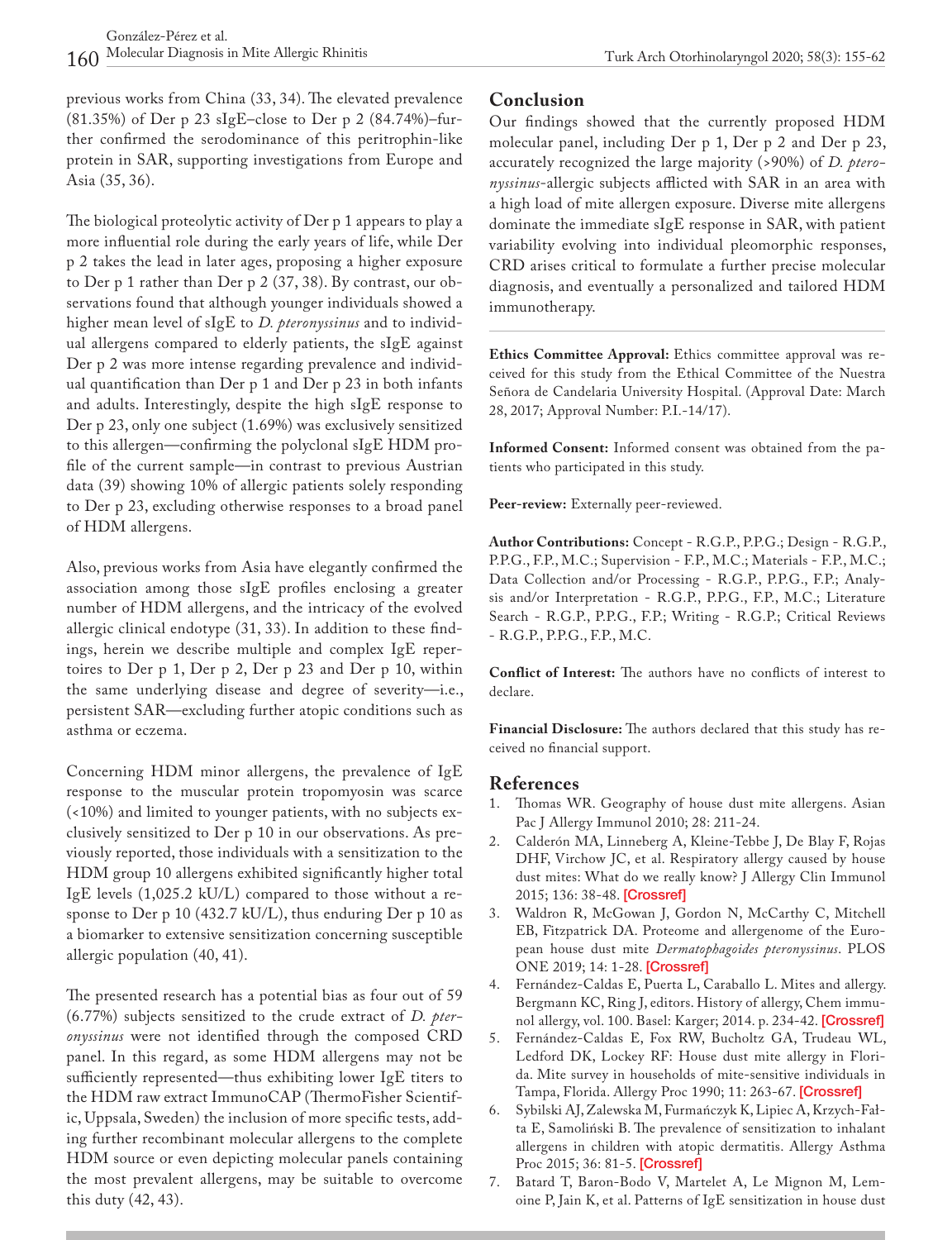previous works from China (33, 34). The elevated prevalence (81.35%) of Der p 23 sIgE–close to Der p 2 (84.74%)–further confirmed the serodominance of this peritrophin-like protein in SAR, supporting investigations from Europe and Asia (35, 36).

The biological proteolytic activity of Der p 1 appears to play a more influential role during the early years of life, while Der p 2 takes the lead in later ages, proposing a higher exposure to Der p 1 rather than Der p 2 (37, 38). By contrast, our observations found that although younger individuals showed a higher mean level of sIgE to *D. pteronyssinus* and to individual allergens compared to elderly patients, the sIgE against Der p 2 was more intense regarding prevalence and individual quantification than Der p 1 and Der p 23 in both infants and adults. Interestingly, despite the high sIgE response to Der p 23, only one subject (1.69%) was exclusively sensitized to this allergen—confirming the polyclonal sIgE HDM profile of the current sample—in contrast to previous Austrian data (39) showing 10% of allergic patients solely responding to Der p 23, excluding otherwise responses to a broad panel of HDM allergens.

Also, previous works from Asia have elegantly confirmed the association among those sIgE profiles enclosing a greater number of HDM allergens, and the intricacy of the evolved allergic clinical endotype (31, 33). In addition to these findings, herein we describe multiple and complex IgE repertoires to Der p 1, Der p 2, Der p 23 and Der p 10, within the same underlying disease and degree of severity—i.e., persistent SAR—excluding further atopic conditions such as asthma or eczema.

Concerning HDM minor allergens, the prevalence of IgE response to the muscular protein tropomyosin was scarce (<10%) and limited to younger patients, with no subjects exclusively sensitized to Der p 10 in our observations. As previously reported, those individuals with a sensitization to the HDM group 10 allergens exhibited significantly higher total IgE levels (1,025.2 kU/L) compared to those without a response to Der p 10 (432.7 kU/L), thus enduring Der p 10 as a biomarker to extensive sensitization concerning susceptible allergic population (40, 41).

The presented research has a potential bias as four out of 59 (6.77%) subjects sensitized to the crude extract of *D. pteronyssinus* were not identified through the composed CRD panel. In this regard, as some HDM allergens may not be sufficiently represented—thus exhibiting lower IgE titers to the HDM raw extract ImmunoCAP (ThermoFisher Scientific, Uppsala, Sweden) the inclusion of more specific tests, adding further recombinant molecular allergens to the complete HDM source or even depicting molecular panels containing the most prevalent allergens, may be suitable to overcome this duty (42, 43).

### **Conclusion**

Our findings showed that the currently proposed HDM molecular panel, including Der p 1, Der p 2 and Der p 23, accurately recognized the large majority (>90%) of *D. pteronyssinus*-allergic subjects afflicted with SAR in an area with a high load of mite allergen exposure. Diverse mite allergens dominate the immediate sIgE response in SAR, with patient variability evolving into individual pleomorphic responses, CRD arises critical to formulate a further precise molecular diagnosis, and eventually a personalized and tailored HDM immunotherapy.

**Ethics Committee Approval:** Ethics committee approval was received for this study from the Ethical Committee of the Nuestra Señora de Candelaria University Hospital. (Approval Date: March 28, 2017; Approval Number: P.I.-14/17).

**Informed Consent:** Informed consent was obtained from the patients who participated in this study.

**Peer-review:** Externally peer-reviewed.

**Author Contributions:** Concept - R.G.P., P.P.G.; Design - R.G.P., P.P.G., F.P., M.C.; Supervision - F.P., M.C.; Materials - F.P., M.C.; Data Collection and/or Processing - R.G.P., P.P.G., F.P.; Analysis and/or Interpretation - R.G.P., P.P.G., F.P., M.C.; Literature Search - R.G.P., P.P.G., F.P.; Writing - R.G.P.; Critical Reviews - R.G.P., P.P.G., F.P., M.C.

**Conflict of Interest:** The authors have no conflicts of interest to declare.

**Financial Disclosure:** The authors declared that this study has received no financial support.

## **References**

- 1. Thomas WR. Geography of house dust mite allergens. Asian Pac J Allergy Immunol 2010; 28: 211-24.
- 2. Calderón MA, Linneberg A, Kleine-Tebbe J, De Blay F, Rojas DHF, Virchow JC, et al. Respiratory allergy caused by house dust mites: What do we really know? J Allergy Clin Immunol 2015; 136: 38-48. [[Crossref\]](https://doi.org/10.1016/j.jaci.2014.10.012)
- 3. Waldron R, McGowan J, Gordon N, McCarthy C, Mitchell EB, Fitzpatrick DA. Proteome and allergenome of the European house dust mite *Dermatophagoides pteronyssinus*. PLOS ONE 2019; 14: 1-28. [\[Crossref](https://doi.org/10.1371/journal.pone.0216171)]
- 4. Fernández-Caldas E, Puerta L, Caraballo L. Mites and allergy. Bergmann KC, Ring J, editors. History of allergy, Chem immunol allergy, vol. 100. Basel: Karger; 2014. p. 234-42. [[Crossref\]](https://doi.org/10.1159/000358860)
- 5. Fernández-Caldas E, Fox RW, Bucholtz GA, Trudeau WL, Ledford DK, Lockey RF: House dust mite allergy in Florida. Mite survey in households of mite-sensitive individuals in Tampa, Florida. Allergy Proc 1990; 11: 263-67. [\[Crossref](https://doi.org/10.2500/108854190778879710)]
- 6. Sybilski AJ, Zalewska M, Furmańczyk K, Lipiec A, Krzych-Fałta E, Samoliński B. The prevalence of sensitization to inhalant allergens in children with atopic dermatitis. Allergy Asthma Proc 2015; 36: 81-5. [\[Crossref](https://doi.org/10.2500/aap.2015.36.3882)]
- 7. Batard T, Baron-Bodo V, Martelet A, Le Mignon M, Lemoine P, Jain K, et al. Patterns of IgE sensitization in house dust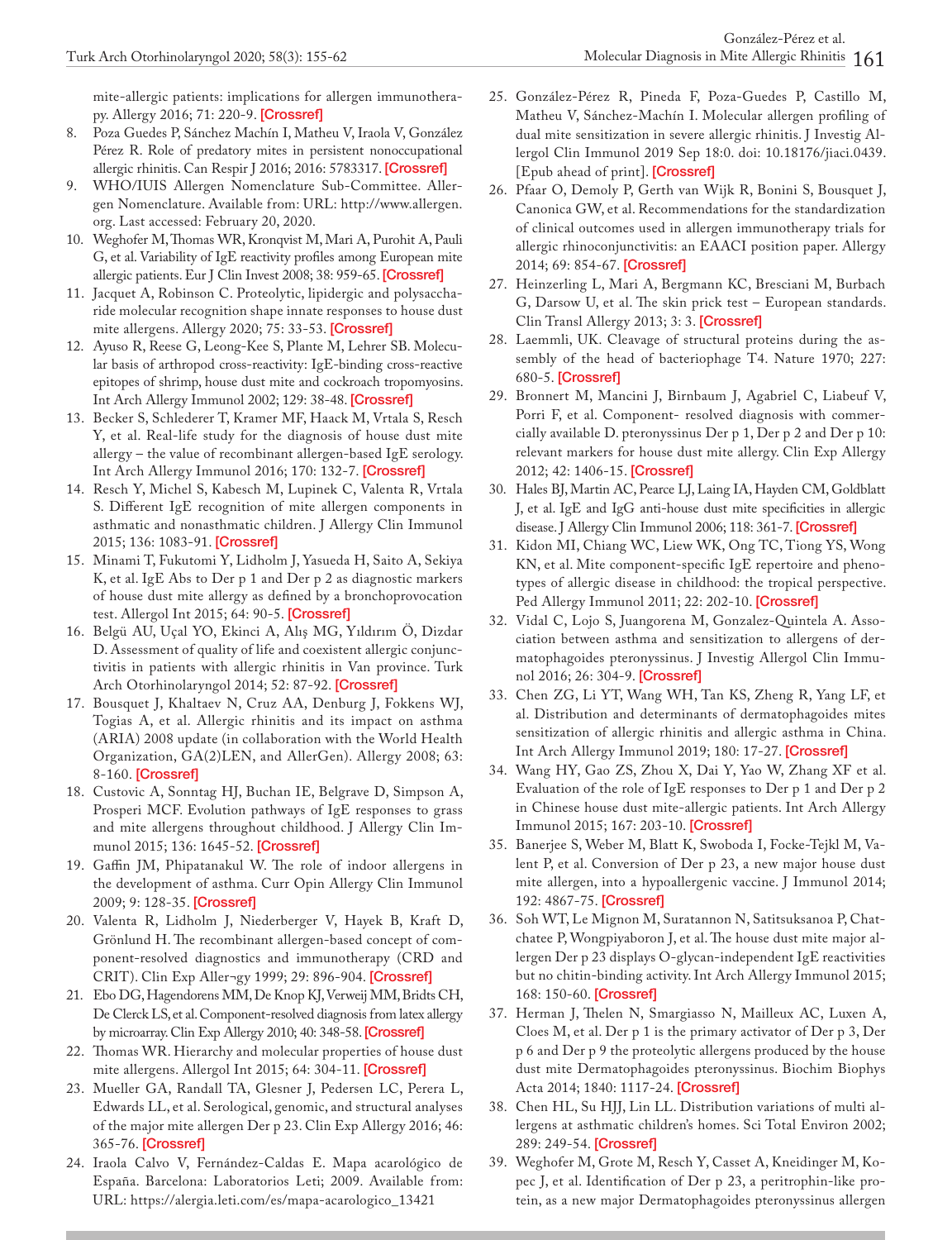mite-allergic patients: implications for allergen immunotherapy. Allergy 2016; 71: 220-9. [\[Crossref](https://doi.org/10.1111/all.12796)]

- 8. Poza Guedes P, Sánchez Machín I, Matheu V, Iraola V, González Pérez R. Role of predatory mites in persistent nonoccupational allergic rhinitis. Can Respir J 2016; 2016: 5783317. [[Crossref\]](https://doi.org/10.1155/2016/5782317)
- 9. WHO/IUIS Allergen Nomenclature Sub-Committee. Allergen Nomenclature. Available from: URL: http://www.allergen. org. Last accessed: February 20, 2020.
- 10. Weghofer M, Thomas WR, Kronqvist M, Mari A, Purohit A, Pauli G, et al. Variability of IgE reactivity profiles among European mite allergic patients. Eur J Clin Invest 2008; 38: 959-65. [\[Crossref\]](https://doi.org/10.1111/j.1365-2362.2008.02048.x)
- 11. Jacquet A, Robinson C. Proteolytic, lipidergic and polysaccharide molecular recognition shape innate responses to house dust mite allergens. Allergy 2020; 75: 33-53. [[Crossref](https://doi.org/10.1111/all.13940)]
- 12. Ayuso R, Reese G, Leong-Kee S, Plante M, Lehrer SB. Molecular basis of arthropod cross-reactivity: IgE-binding cross-reactive epitopes of shrimp, house dust mite and cockroach tropomyosins. Int Arch Allergy Immunol 2002; 129: 38-48. [[Crossref\]](https://doi.org/10.1159/000065172)
- 13. Becker S, Schlederer T, Kramer MF, Haack M, Vrtala S, Resch Y, et al. Real-life study for the diagnosis of house dust mite allergy – the value of recombinant allergen-based IgE serology. Int Arch Allergy Immunol 2016; 170: 132-7. [[Crossref\]](https://doi.org/10.1159/000447694)
- 14. Resch Y, Michel S, Kabesch M, Lupinek C, Valenta R, Vrtala S. Different IgE recognition of mite allergen components in asthmatic and nonasthmatic children. J Allergy Clin Immunol 2015; 136: 1083-91. [\[Crossref\]](https://doi.org/10.1016/j.jaci.2015.03.024)
- 15. Minami T, Fukutomi Y, Lidholm J, Yasueda H, Saito A, Sekiya K, et al. IgE Abs to Der p 1 and Der p 2 as diagnostic markers of house dust mite allergy as defined by a bronchoprovocation test. Allergol Int 2015; 64: 90-5. [[Crossref\]](https://doi.org/10.1016/j.alit.2014.08.004)
- 16. Belgü AU, Uçal YO, Ekinci A, Alış MG, Yıldırım Ö, Dizdar D. Assessment of quality of life and coexistent allergic conjunctivitis in patients with allergic rhinitis in Van province. Turk Arch Otorhinolaryngol 2014; 52: 87-92. [\[Crossref](https://doi.org/10.5152/tao.2014.579)]
- 17. Bousquet J, Khaltaev N, Cruz AA, Denburg J, Fokkens WJ, Togias A, et al. Allergic rhinitis and its impact on asthma (ARIA) 2008 update (in collaboration with the World Health Organization, GA(2)LEN, and AllerGen). Allergy 2008; 63: 8-160. [[Crossref\]](https://doi.org/10.1111/j.1398-9995.2007.01620.x)
- 18. Custovic A, Sonntag HJ, Buchan IE, Belgrave D, Simpson A, Prosperi MCF. Evolution pathways of IgE responses to grass and mite allergens throughout childhood. J Allergy Clin Im-munol 2015; 136: 1645-52. [\[Crossref](https://doi.org/10.1016/j.jaci.2015.03.041)]
- 19. Gaffin JM, Phipatanakul W. The role of indoor allergens in the development of asthma. Curr Opin Allergy Clin Immunol 2009; 9: 128-35. [\[Crossref](https://doi.org/10.1097/ACI.0b013e32832678b0)]
- 20. Valenta R, Lidholm J, Niederberger V, Hayek B, Kraft D, Grönlund H. The recombinant allergen-based concept of component-resolved diagnostics and immunotherapy (CRD and CRIT). Clin Exp Aller¬gy 1999; 29: 896-904. [\[Crossref](https://doi.org/10.1046/j.1365-2222.1999.00653.x)]
- 21. Ebo DG, Hagendorens MM, De Knop KJ, Verweij MM, Bridts CH, De Clerck LS, et al. Component-resolved diagnosis from latex allergy by microarray. Clin Exp Allergy 2010; 40: 348-58. [[Crossref](https://doi.org/10.1111/j.1365-2222.2009.03370.x)]
- 22. Thomas WR. Hierarchy and molecular properties of house dust mite allergens. Allergol Int 2015; 64: 304-11. [\[Crossref](https://doi.org/10.1016/j.alit.2015.05.004)]
- 23. Mueller GA, Randall TA, Glesner J, Pedersen LC, Perera L, Edwards LL, et al. Serological, genomic, and structural analyses of the major mite allergen Der p 23. Clin Exp Allergy 2016; 46: 365-76. [[Crossref\]](https://doi.org/10.1111/cea.12680)
- 24. Iraola Calvo V, Fernández-Caldas E. Mapa acarológico de España. Barcelona: Laboratorios Leti; 2009. Available from: URL: https://alergia.leti.com/es/mapa-acarologico\_13421
- 25. González-Pérez R, Pineda F, Poza-Guedes P, Castillo M, Matheu V, Sánchez-Machín I. Molecular allergen profiling of dual mite sensitization in severe allergic rhinitis. J Investig Allergol Clin Immunol 2019 Sep 18:0. doi: 10.18176/jiaci.0439. [Epub ahead of print]. [\[Crossref](https://doi.org/10.18176/jiaci.0439)]
- 26. Pfaar O, Demoly P, Gerth van Wijk R, Bonini S, Bousquet J, Canonica GW, et al. Recommendations for the standardization of clinical outcomes used in allergen immunotherapy trials for allergic rhinoconjunctivitis: an EAACI position paper. Allergy 2014; 69: 854-67. [[Crossref\]](https://doi.org/10.1111/all.12383)
- 27. Heinzerling L, Mari A, Bergmann KC, Bresciani M, Burbach G, Darsow U, et al. The skin prick test – European standards. Clin Transl Allergy 2013; 3: 3. [\[Crossref](https://doi.org/10.1186/2045-7022-3-3)]
- 28. Laemmli, UK. Cleavage of structural proteins during the assembly of the head of bacteriophage T4. Nature 1970; 227: 680-5. [[Crossref\]](https://doi.org/10.1038/227680a0)
- 29. Bronnert M, Mancini J, Birnbaum J, Agabriel C, Liabeuf V, Porri F, et al. Component- resolved diagnosis with commercially available D. pteronyssinus Der p 1, Der p 2 and Der p 10: relevant markers for house dust mite allergy. Clin Exp Allergy 2012; 42: 1406-15. [[Crossref\]](https://doi.org/10.1111/j.1365-2222.2012.04035.x)
- 30. Hales BJ, Martin AC, Pearce LJ, Laing IA, Hayden CM, Goldblatt J, et al. IgE and IgG anti-house dust mite specificities in allergic disease. J Allergy Clin Immunol 2006; 118: 361-7. [[Crossref](https://doi.org/10.1016/j.jaci.2006.04.001)]
- 31. Kidon MI, Chiang WC, Liew WK, Ong TC, Tiong YS, Wong KN, et al. Mite component-specific IgE repertoire and phenotypes of allergic disease in childhood: the tropical perspective. Ped Allergy Immunol 2011; 22: 202-10. [[Crossref\]](https://doi.org/10.1111/j.1399-3038.2010.01094.x)
- 32. Vidal C, Lojo S, Juangorena M, Gonzalez-Quintela A. Association between asthma and sensitization to allergens of dermatophagoides pteronyssinus. J Investig Allergol Clin Immunol 2016; 26: 304-9. [[Crossref\]](https://doi.org/10.18176/jiaci.0048)
- 33. Chen ZG, Li YT, Wang WH, Tan KS, Zheng R, Yang LF, et al. Distribution and determinants of dermatophagoides mites sensitization of allergic rhinitis and allergic asthma in China. Int Arch Allergy Immunol 2019; 180: 17-27. [\[Crossref](https://doi.org/10.1159/000499409)]
- 34. Wang HY, Gao ZS, Zhou X, Dai Y, Yao W, Zhang XF et al. Evaluation of the role of IgE responses to Der p 1 and Der p 2 in Chinese house dust mite-allergic patients. Int Arch Allergy Immunol 2015; 167: 203-10. [\[Crossref](https://doi.org/10.1159/000438724)]
- 35. Banerjee S, Weber M, Blatt K, Swoboda I, Focke-Tejkl M, Valent P, et al. Conversion of Der p 23, a new major house dust mite allergen, into a hypoallergenic vaccine. J Immunol 2014; 192: 4867-75. [[Crossref\]](https://doi.org/10.4049/jimmunol.1400064)
- 36. Soh WT, Le Mignon M, Suratannon N, Satitsuksanoa P, Chatchatee P, Wongpiyaboron J, et al. The house dust mite major allergen Der p 23 displays O-glycan-independent IgE reactivities but no chitin-binding activity. Int Arch Allergy Immunol 2015; 168: 150-60. [\[Crossref](https://doi.org/10.1159/000442176)]
- 37. Herman J, Thelen N, Smargiasso N, Mailleux AC, Luxen A, Cloes M, et al. Der p 1 is the primary activator of Der p 3, Der p 6 and Der p 9 the proteolytic allergens produced by the house dust mite Dermatophagoides pteronyssinus. Biochim Biophys Acta 2014; 1840: 1117-24. [\[Crossref](https://doi.org/10.1016/j.bbagen.2013.11.017)]
- 38. Chen HL, Su HJJ, Lin LL. Distribution variations of multi allergens at asthmatic children's homes. Sci Total Environ 2002; 289: 249-54. [\[Crossref](https://doi.org/10.1016/S0048-9697(01)01030-0)]
- 39. Weghofer M, Grote M, Resch Y, Casset A, Kneidinger M, Kopec J, et al. Identification of Der p 23, a peritrophin-like protein, as a new major Dermatophagoides pteronyssinus allergen